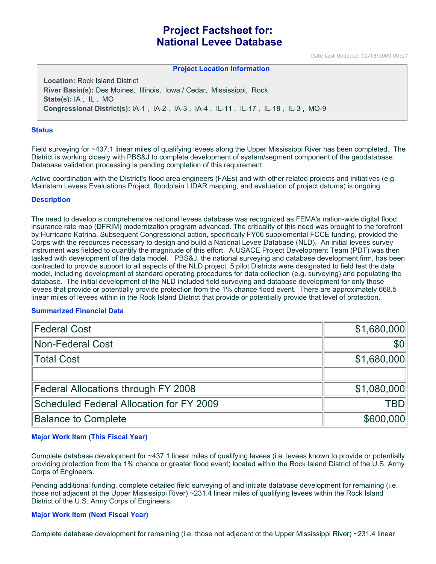# **Project Factsheet for: National Levee Database**

Date Last Updated: 02/18/2009 09:27

#### **Project Location Information**

**Location:** Rock Island District **River Basin(s):** Des Moines, Illinois, Iowa / Cedar, Mississippi, Rock **State(s):** IA , IL , MO **Congressional District(s):** IA-1 , IA-2 , IA-3 , IA-4 , IL-11 , IL-17 , IL-18 , IL-3 , MO-9

#### **Status**

Field surveying for ~437.1 linear miles of qualifying levees along the Upper Mississippi River has been completed. The District is working closely with PBS&J to complete development of system/segment component of the geodatabase. Database validation processing is pending completion of this requirement.

Active coordination with the District's flood area engineers (FAEs) and with other related projects and initiatives (e.g. Mainstem Levees Evaluations Project, floodplain LIDAR mapping, and evaluation of project datums) is ongoing.

#### **Description**

The need to develop a comprehensive national levees database was recognized as FEMA's nation-wide digital flood insurance rate map (DFRIM) modernization program advanced. The criticality of this need was brought to the forefront by Hurricane Katrina. Subsequent Congressional action, specifically FY06 supplemental FCCE funding, provided the Corps with the resources necessary to design and build a National Levee Database (NLD). An initial levees survey instrument was fielded to quantify the magnitude of this effort. A USACE Project Development Team (PDT) was then tasked with development of the data model. PBS&J, the national surveying and database development firm, has been contracted to provide support to all aspects of the NLD project. 5 pilot Districts were designated to field test the data model, including development of standard operating procedures for data collection (e.g. surveying) and populating the database. The initial development of the NLD included field surveying and database development for only those levees that provide or potentially provide protection from the 1% chance flood event. There are approximately 668.5 linear miles of levees within in the Rock Island District that provide or potentially provide that level of protection.

## **Summarized Financial Data**

| Federal Cost                             | \$1,680,000 |
|------------------------------------------|-------------|
| Non-Federal Cost                         | \$0         |
| Total Cost                               | \$1,680,000 |
|                                          |             |
| Federal Allocations through FY 2008      | \$1,080,000 |
| Scheduled Federal Allocation for FY 2009 | TBD         |
| <b>Balance to Complete</b>               | \$600,000   |

## **Major Work Item (This Fiscal Year)**

Complete database development for ~437.1 linear miles of qualifying levees (i.e. levees known to provide or potentially providing protection from the 1% chance or greater flood event) located within the Rock Island District of the U.S. Army Corps of Engineers.

Pending additional funding, complete detailed field surveying of and initiate database development for remaining (i.e. those not adjacent ot the Upper Mississippi River) ~231.4 linear miles of qualifying levees within the Rock Island District of the U.S. Army Corps of Engineers.

## **Major Work Item (Next Fiscal Year)**

Complete database development for remaining (i.e. those not adjacent ot the Upper Mississippi River) ~231.4 linear